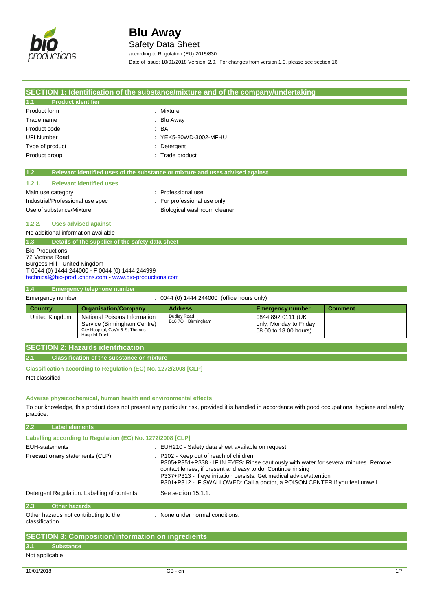

Safety Data Sheet

according to Regulation (EU) 2015/830

Date of issue: 10/01/2018 Version: 2.0. For changes from version 1.0, please see section 16

|                                                                                                                                                                                                                                                                                                            |                                                                                                                           | SECTION 1: Identification of the substance/mixture and of the company/undertaking                                                                   |                                                                       |                |
|------------------------------------------------------------------------------------------------------------------------------------------------------------------------------------------------------------------------------------------------------------------------------------------------------------|---------------------------------------------------------------------------------------------------------------------------|-----------------------------------------------------------------------------------------------------------------------------------------------------|-----------------------------------------------------------------------|----------------|
| <b>Product identifier</b><br>1.1.                                                                                                                                                                                                                                                                          |                                                                                                                           |                                                                                                                                                     |                                                                       |                |
| Product form                                                                                                                                                                                                                                                                                               |                                                                                                                           | Mixture                                                                                                                                             |                                                                       |                |
| Trade name                                                                                                                                                                                                                                                                                                 |                                                                                                                           | <b>Blu Away</b>                                                                                                                                     |                                                                       |                |
| Product code                                                                                                                                                                                                                                                                                               |                                                                                                                           | <b>BA</b>                                                                                                                                           |                                                                       |                |
| <b>UFI Number</b>                                                                                                                                                                                                                                                                                          |                                                                                                                           | YEK5-80WD-3002-MFHU                                                                                                                                 |                                                                       |                |
| Type of product                                                                                                                                                                                                                                                                                            |                                                                                                                           | Detergent                                                                                                                                           |                                                                       |                |
| Product group                                                                                                                                                                                                                                                                                              |                                                                                                                           | Trade product                                                                                                                                       |                                                                       |                |
|                                                                                                                                                                                                                                                                                                            |                                                                                                                           |                                                                                                                                                     |                                                                       |                |
| 1.2.                                                                                                                                                                                                                                                                                                       |                                                                                                                           | Relevant identified uses of the substance or mixture and uses advised against                                                                       |                                                                       |                |
| 1.2.1.                                                                                                                                                                                                                                                                                                     | <b>Relevant identified uses</b>                                                                                           |                                                                                                                                                     |                                                                       |                |
| Main use category                                                                                                                                                                                                                                                                                          |                                                                                                                           | : Professional use                                                                                                                                  |                                                                       |                |
| Industrial/Professional use spec                                                                                                                                                                                                                                                                           |                                                                                                                           | For professional use only                                                                                                                           |                                                                       |                |
| Use of substance/Mixture                                                                                                                                                                                                                                                                                   |                                                                                                                           | Biological washroom cleaner                                                                                                                         |                                                                       |                |
| 1.2.2.                                                                                                                                                                                                                                                                                                     | <b>Uses advised against</b>                                                                                               |                                                                                                                                                     |                                                                       |                |
| No additional information available                                                                                                                                                                                                                                                                        |                                                                                                                           |                                                                                                                                                     |                                                                       |                |
| 1.3.                                                                                                                                                                                                                                                                                                       | Details of the supplier of the safety data sheet                                                                          |                                                                                                                                                     |                                                                       |                |
| <b>Bio-Productions</b><br>72 Victoria Road<br>Burgess Hill - United Kingdom                                                                                                                                                                                                                                | T 0044 (0) 1444 244000 - F 0044 (0) 1444 244999<br>technical@bio-productions.com - www.bio-productions.com                |                                                                                                                                                     |                                                                       |                |
| 1.4.                                                                                                                                                                                                                                                                                                       | <b>Emergency telephone number</b>                                                                                         |                                                                                                                                                     |                                                                       |                |
| Emergency number                                                                                                                                                                                                                                                                                           |                                                                                                                           | : 0044 (0) 1444 244000 (office hours only)                                                                                                          |                                                                       |                |
| <b>Country</b>                                                                                                                                                                                                                                                                                             | <b>Organisation/Company</b>                                                                                               | <b>Address</b>                                                                                                                                      | <b>Emergency number</b>                                               | <b>Comment</b> |
| United Kingdom                                                                                                                                                                                                                                                                                             | National Poisons Information<br>Service (Birmingham Centre)<br>City Hospital, Guy's & St Thomas'<br><b>Hospital Trust</b> | Dudley Road<br>B18 7QH Birmingham                                                                                                                   | 0844 892 0111 (UK<br>only, Monday to Friday,<br>08.00 to 18.00 hours) |                |
|                                                                                                                                                                                                                                                                                                            | <b>SECTION 2: Hazards identification</b>                                                                                  |                                                                                                                                                     |                                                                       |                |
| 2.1.                                                                                                                                                                                                                                                                                                       | <b>Classification of the substance or mixture</b>                                                                         |                                                                                                                                                     |                                                                       |                |
| Classification according to Regulation (EC) No. 1272/2008 [CLP]<br>Not classified<br>Adverse physicochemical, human health and environmental effects                                                                                                                                                       |                                                                                                                           |                                                                                                                                                     |                                                                       |                |
| practice.                                                                                                                                                                                                                                                                                                  |                                                                                                                           | To our knowledge, this product does not present any particular risk, provided it is handled in accordance with good occupational hygiene and safety |                                                                       |                |
| 2.2.<br><b>Label elements</b>                                                                                                                                                                                                                                                                              |                                                                                                                           |                                                                                                                                                     |                                                                       |                |
|                                                                                                                                                                                                                                                                                                            | Labelling according to Regulation (EC) No. 1272/2008 [CLP]                                                                |                                                                                                                                                     |                                                                       |                |
| <b>EUH-statements</b><br>Precautionary statements (CLP)                                                                                                                                                                                                                                                    |                                                                                                                           | : EUH210 - Safety data sheet available on request<br>P <sub>102</sub> - Keep out of reach of children                                               |                                                                       |                |
| P305+P351+P338 - IF IN EYES: Rinse cautiously with water for several minutes. Remove<br>contact lenses, if present and easy to do. Continue rinsing<br>P337+P313 - If eye irritation persists: Get medical advice/attention<br>P301+P312 - IF SWALLOWED: Call a doctor, a POISON CENTER if you feel unwell |                                                                                                                           |                                                                                                                                                     |                                                                       |                |
| See section 15.1.1.<br>Detergent Regulation: Labelling of contents                                                                                                                                                                                                                                         |                                                                                                                           |                                                                                                                                                     |                                                                       |                |
| 2.3.<br><b>Other hazards</b>                                                                                                                                                                                                                                                                               |                                                                                                                           |                                                                                                                                                     |                                                                       |                |
| Other hazards not contributing to the<br>classification                                                                                                                                                                                                                                                    |                                                                                                                           | : None under normal conditions.                                                                                                                     |                                                                       |                |
|                                                                                                                                                                                                                                                                                                            | <b>SECTION 3: Composition/information on ingredients</b>                                                                  |                                                                                                                                                     |                                                                       |                |
| <b>Substance</b>                                                                                                                                                                                                                                                                                           |                                                                                                                           |                                                                                                                                                     |                                                                       |                |
|                                                                                                                                                                                                                                                                                                            |                                                                                                                           |                                                                                                                                                     |                                                                       |                |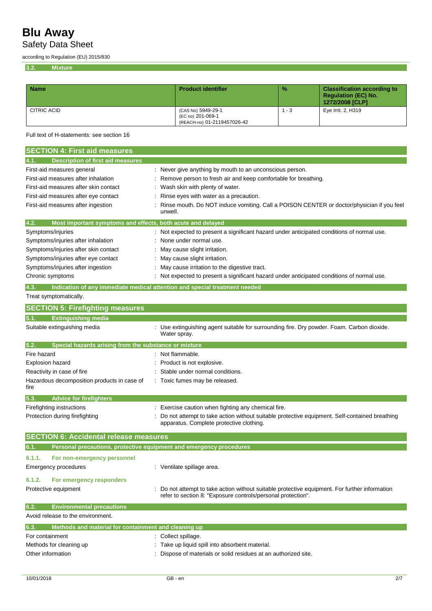Safety Data Sheet

according to Regulation (EU) 2015/830

**3.2. Mixture**

| <b>Name</b> | <b>Product identifier</b>                                              | $\frac{9}{6}$ | <b>Classification according to</b><br><b>Regulation (EC) No.</b><br>1272/2008 [CLP] |
|-------------|------------------------------------------------------------------------|---------------|-------------------------------------------------------------------------------------|
| CITRIC ACID | (CAS No) 5949-29-1<br>(EC no) 201-069-1<br>(REACH-no) 01-2119457026-42 | - 3           | Eye Irrit. 2, H319                                                                  |

Full text of H-statements: see section 16

| <b>SECTION 4: First aid measures</b>                                        |                                                                                                                                                                |
|-----------------------------------------------------------------------------|----------------------------------------------------------------------------------------------------------------------------------------------------------------|
| <b>Description of first aid measures</b><br>4.1.                            |                                                                                                                                                                |
| First-aid measures general                                                  | Never give anything by mouth to an unconscious person.                                                                                                         |
| First-aid measures after inhalation                                         | Remove person to fresh air and keep comfortable for breathing.                                                                                                 |
| First-aid measures after skin contact                                       | Wash skin with plenty of water.                                                                                                                                |
| First-aid measures after eye contact                                        | Rinse eyes with water as a precaution.                                                                                                                         |
| First-aid measures after ingestion                                          | Rinse mouth. Do NOT induce vomiting. Call a POISON CENTER or doctor/physician if you feel                                                                      |
|                                                                             | unwell.                                                                                                                                                        |
| 4.2.<br>Most important symptoms and effects, both acute and delayed         |                                                                                                                                                                |
| Symptoms/injuries                                                           | : Not expected to present a significant hazard under anticipated conditions of normal use.                                                                     |
| Symptoms/injuries after inhalation                                          | None under normal use.                                                                                                                                         |
| Symptoms/injuries after skin contact                                        | May cause slight irritation.                                                                                                                                   |
| Symptoms/injuries after eye contact                                         | May cause slight irritation.                                                                                                                                   |
| Symptoms/injuries after ingestion                                           | May cause irritation to the digestive tract.                                                                                                                   |
| Chronic symptoms                                                            | Not expected to present a significant hazard under anticipated conditions of normal use.                                                                       |
| 4.3.                                                                        | Indication of any immediate medical attention and special treatment needed                                                                                     |
| Treat symptomatically.                                                      |                                                                                                                                                                |
| <b>SECTION 5: Firefighting measures</b>                                     |                                                                                                                                                                |
| <b>Extinguishing media</b><br>5.1.                                          |                                                                                                                                                                |
| Suitable extinguishing media                                                | : Use extinguishing agent suitable for surrounding fire. Dry powder. Foam. Carbon dioxide.                                                                     |
|                                                                             | Water spray.                                                                                                                                                   |
| 5.2.<br>Special hazards arising from the substance or mixture               |                                                                                                                                                                |
| Fire hazard                                                                 | : Not flammable.                                                                                                                                               |
| <b>Explosion hazard</b>                                                     | Product is not explosive.                                                                                                                                      |
| Reactivity in case of fire                                                  | Stable under normal conditions.                                                                                                                                |
| Hazardous decomposition products in case of<br>fire                         | : Toxic fumes may be released.                                                                                                                                 |
| <b>Advice for firefighters</b><br>5.3.                                      |                                                                                                                                                                |
| Firefighting instructions                                                   | Exercise caution when fighting any chemical fire.                                                                                                              |
| Protection during firefighting                                              | Do not attempt to take action without suitable protective equipment. Self-contained breathing                                                                  |
|                                                                             | apparatus. Complete protective clothing.                                                                                                                       |
| <b>SECTION 6: Accidental release measures</b>                               |                                                                                                                                                                |
| Personal precautions, protective equipment and emergency procedures<br>6.1. |                                                                                                                                                                |
| 6.1.1.<br>For non-emergency personnel                                       |                                                                                                                                                                |
| Emergency procedures                                                        | : Ventilate spillage area.                                                                                                                                     |
|                                                                             |                                                                                                                                                                |
| 6.1.2.<br>For emergency responders                                          |                                                                                                                                                                |
| Protective equipment                                                        | : Do not attempt to take action without suitable protective equipment. For further information<br>refer to section 8: "Exposure controls/personal protection". |
| 6.2.<br><b>Environmental precautions</b>                                    |                                                                                                                                                                |
| Avoid release to the environment.                                           |                                                                                                                                                                |
| Methods and material for containment and cleaning up<br>6.3.                |                                                                                                                                                                |
| For containment                                                             | : Collect spillage.                                                                                                                                            |
| Methods for cleaning up                                                     | : Take up liquid spill into absorbent material.                                                                                                                |
| Other information                                                           | Dispose of materials or solid residues at an authorized site.                                                                                                  |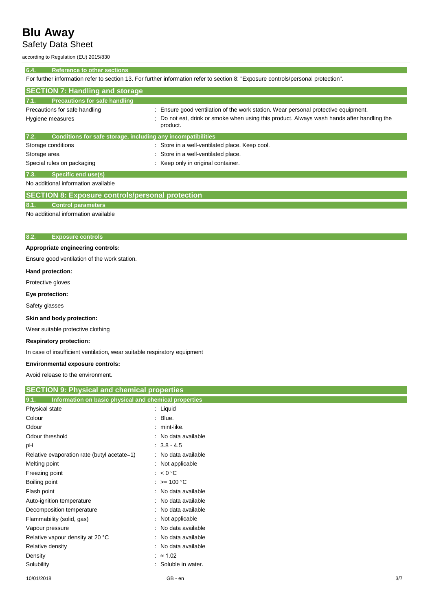### Safety Data Sheet

according to Regulation (EU) 2015/830

### **6.4. Reference to other sections**

For further information refer to section 13. For further information refer to section 8: "Exposure controls/personal protection".

| <b>SECTION 7: Handling and storage</b>                               |                                                                                                           |
|----------------------------------------------------------------------|-----------------------------------------------------------------------------------------------------------|
| 7.1.<br><b>Precautions for safe handling</b>                         |                                                                                                           |
| Precautions for safe handling                                        | : Ensure good ventilation of the work station. Wear personal protective equipment.                        |
| Hygiene measures                                                     | Do not eat, drink or smoke when using this product. Always wash hands after handling the<br>÷<br>product. |
| 7.2.<br>Conditions for safe storage, including any incompatibilities |                                                                                                           |
| Storage conditions                                                   | : Store in a well-ventilated place. Keep cool.                                                            |
| Storage area                                                         | : Store in a well-ventilated place.                                                                       |
| Special rules on packaging                                           | Keep only in original container.                                                                          |
| 7.3.<br>Specific end use(s)                                          |                                                                                                           |

No additional information available

### **SECTION 8: Exposure controls/personal protection**

#### **8.1. Control parameters**

No additional information available

### **8.2. Exposure controls**

### **Appropriate engineering controls:**

Ensure good ventilation of the work station.

### **Hand protection:**

Protective gloves

### **Eye protection:**

Safety glasses

### **Skin and body protection:**

Wear suitable protective clothing

### **Respiratory protection:**

In case of insufficient ventilation, wear suitable respiratory equipment

#### **Environmental exposure controls:**

Avoid release to the environment.

| <b>SECTION 9: Physical and chemical properties</b>            |                     |  |
|---------------------------------------------------------------|---------------------|--|
| 9.1.<br>Information on basic physical and chemical properties |                     |  |
| Physical state                                                | $:$ Liquid          |  |
| Colour                                                        | Blue.<br>÷          |  |
| Odour                                                         | $:$ mint-like.      |  |
| Odour threshold                                               | : No data available |  |
| рH                                                            | $: 3.8 - 4.5$       |  |
| Relative evaporation rate (butyl acetate=1)                   | : No data available |  |
| Melting point                                                 | : Not applicable    |  |
| Freezing point                                                | : $< 0 °C$          |  |
| Boiling point                                                 | : $> = 100 °C$      |  |
| Flash point                                                   | : No data available |  |
| Auto-ignition temperature                                     | : No data available |  |
| Decomposition temperature                                     | : No data available |  |
| Flammability (solid, gas)                                     | : Not applicable    |  |
| Vapour pressure                                               | No data available   |  |
| Relative vapour density at 20 °C                              | : No data available |  |
| Relative density                                              | No data available   |  |
| Density                                                       | $: \approx 1.02$    |  |
| Solubility                                                    | Soluble in water.   |  |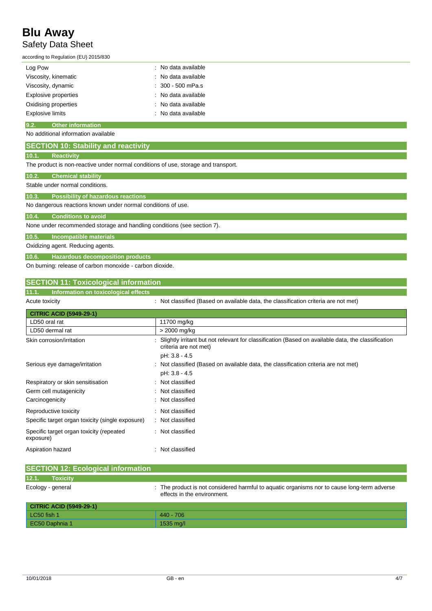### **Blu Away** Safety Data Sheet

according to Regulation (EU) 2015/830

| Log Pow                     | : No data available |
|-----------------------------|---------------------|
| Viscosity, kinematic        | : No data available |
| Viscosity, dynamic          | $: 300 - 500$ mPa.s |
| <b>Explosive properties</b> | : No data available |
| Oxidising properties        | : No data available |
| <b>Explosive limits</b>     | : No data available |

### **9.2. Other information**

### No additional information available

| <b>SECTION 10: Stability and reactivity</b>                                        |
|------------------------------------------------------------------------------------|
| 10.1.<br><b>Reactivity</b>                                                         |
| The product is non-reactive under normal conditions of use, storage and transport. |
| 10.2.<br><b>Chemical stability</b>                                                 |
| Stable under normal conditions.                                                    |
| 10.3.<br><b>Possibility of hazardous reactions</b>                                 |
| No dangerous reactions known under normal conditions of use.                       |
| 10.4.<br><b>Conditions to avoid</b>                                                |
| None under recommended storage and handling conditions (see section 7).            |
| 10.5.<br>Incompatible materials                                                    |
| Oxidizing agent. Reducing agents.                                                  |
| 10.6.<br><b>Hazardous decomposition products</b>                                   |
| On burning: release of carbon monoxide - carbon dioxide.                           |

### **SECTION 11: Toxicological information**

### **11.1. Information on toxicological effects**

| Acute toxicity |
|----------------|
|                |

: Not classified (Based on available data, the classification criteria are not met)

| <b>CITRIC ACID (5949-29-1)</b>                        |                                                                                                                                  |
|-------------------------------------------------------|----------------------------------------------------------------------------------------------------------------------------------|
| LD50 oral rat                                         | 11700 mg/kg                                                                                                                      |
| LD50 dermal rat                                       | > 2000 mg/kg                                                                                                                     |
| Skin corrosion/irritation                             | Slightly irritant but not relevant for classification (Based on available data, the classification<br>٠<br>criteria are not met) |
|                                                       | pH: 3.8 - 4.5                                                                                                                    |
| Serious eye damage/irritation                         | : Not classified (Based on available data, the classification criteria are not met)                                              |
|                                                       | pH: 3.8 - 4.5                                                                                                                    |
| Respiratory or skin sensitisation                     | : Not classified                                                                                                                 |
| Germ cell mutagenicity                                | Not classified<br>÷.                                                                                                             |
| Carcinogenicity                                       | : Not classified                                                                                                                 |
| Reproductive toxicity                                 | : Not classified                                                                                                                 |
| Specific target organ toxicity (single exposure)      | Not classified<br>÷                                                                                                              |
| Specific target organ toxicity (repeated<br>exposure) | : Not classified                                                                                                                 |
| Aspiration hazard                                     | : Not classified                                                                                                                 |

| <b>SECTION 12: Ecological information</b> |                                                                                                                            |
|-------------------------------------------|----------------------------------------------------------------------------------------------------------------------------|
| 12.1.<br><b>Toxicity</b>                  |                                                                                                                            |
| Ecology - general                         | : The product is not considered harmful to aquatic organisms nor to cause long-term adverse<br>effects in the environment. |
| <b>CITRIC ACID (5949-29-1)</b>            |                                                                                                                            |
| LC50 fish 1                               | $440 - 706$                                                                                                                |
| EC50 Daphnia 1                            | 1535 mg/l                                                                                                                  |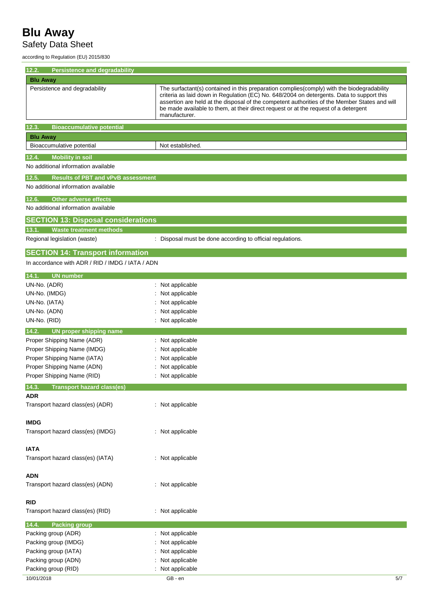### Safety Data Sheet

according to Regulation (EU) 2015/830

| 12.2.<br>Persistence and degradability             |                                                                                                                                                                                                                                                                                                                                                                                                  |
|----------------------------------------------------|--------------------------------------------------------------------------------------------------------------------------------------------------------------------------------------------------------------------------------------------------------------------------------------------------------------------------------------------------------------------------------------------------|
| <b>Blu Away</b>                                    |                                                                                                                                                                                                                                                                                                                                                                                                  |
| Persistence and degradability                      | The surfactant(s) contained in this preparation complies(comply) with the biodegradability<br>criteria as laid down in Regulation (EC) No. 648/2004 on detergents. Data to support this<br>assertion are held at the disposal of the competent authorities of the Member States and will<br>be made available to them, at their direct request or at the request of a detergent<br>manufacturer. |
| <b>Bioaccumulative potential</b><br>12.3.          |                                                                                                                                                                                                                                                                                                                                                                                                  |
| <b>Blu Away</b>                                    |                                                                                                                                                                                                                                                                                                                                                                                                  |
| Bioaccumulative potential                          | Not established.                                                                                                                                                                                                                                                                                                                                                                                 |
| <b>Mobility in soil</b><br>12.4.                   |                                                                                                                                                                                                                                                                                                                                                                                                  |
| No additional information available                |                                                                                                                                                                                                                                                                                                                                                                                                  |
| <b>Results of PBT and vPvB assessment</b><br>12.5. |                                                                                                                                                                                                                                                                                                                                                                                                  |
| No additional information available                |                                                                                                                                                                                                                                                                                                                                                                                                  |
| 12.6.<br><b>Other adverse effects</b>              |                                                                                                                                                                                                                                                                                                                                                                                                  |
| No additional information available                |                                                                                                                                                                                                                                                                                                                                                                                                  |
|                                                    |                                                                                                                                                                                                                                                                                                                                                                                                  |
| <b>SECTION 13: Disposal considerations</b>         |                                                                                                                                                                                                                                                                                                                                                                                                  |
| <b>Waste treatment methods</b><br>13.1.            |                                                                                                                                                                                                                                                                                                                                                                                                  |
| Regional legislation (waste)                       | : Disposal must be done according to official regulations.                                                                                                                                                                                                                                                                                                                                       |
| <b>SECTION 14: Transport information</b>           |                                                                                                                                                                                                                                                                                                                                                                                                  |
| In accordance with ADR / RID / IMDG / IATA / ADN   |                                                                                                                                                                                                                                                                                                                                                                                                  |
| 14.1. UN number                                    |                                                                                                                                                                                                                                                                                                                                                                                                  |
| UN-No. (ADR)                                       | Not applicable                                                                                                                                                                                                                                                                                                                                                                                   |
| UN-No. (IMDG)                                      | Not applicable                                                                                                                                                                                                                                                                                                                                                                                   |
| UN-No. (IATA)                                      | Not applicable                                                                                                                                                                                                                                                                                                                                                                                   |
| UN-No. (ADN)                                       | Not applicable                                                                                                                                                                                                                                                                                                                                                                                   |
| UN-No. (RID)                                       | : Not applicable                                                                                                                                                                                                                                                                                                                                                                                 |
| 14.2.<br><b>UN proper shipping name</b>            |                                                                                                                                                                                                                                                                                                                                                                                                  |
| Proper Shipping Name (ADR)                         | : Not applicable                                                                                                                                                                                                                                                                                                                                                                                 |
| Proper Shipping Name (IMDG)                        | Not applicable                                                                                                                                                                                                                                                                                                                                                                                   |
| Proper Shipping Name (IATA)                        | Not applicable                                                                                                                                                                                                                                                                                                                                                                                   |
| Proper Shipping Name (ADN)                         | Not applicable                                                                                                                                                                                                                                                                                                                                                                                   |
| Proper Shipping Name (RID)                         | : Not applicable                                                                                                                                                                                                                                                                                                                                                                                 |
| <b>Transport hazard class(es)</b><br>14.3.         |                                                                                                                                                                                                                                                                                                                                                                                                  |
| <b>ADR</b><br>Transport hazard class(es) (ADR)     | : Not applicable                                                                                                                                                                                                                                                                                                                                                                                 |
|                                                    |                                                                                                                                                                                                                                                                                                                                                                                                  |
| <b>IMDG</b>                                        |                                                                                                                                                                                                                                                                                                                                                                                                  |
| Transport hazard class(es) (IMDG)                  | : Not applicable                                                                                                                                                                                                                                                                                                                                                                                 |
|                                                    |                                                                                                                                                                                                                                                                                                                                                                                                  |
| <b>IATA</b>                                        |                                                                                                                                                                                                                                                                                                                                                                                                  |
| Transport hazard class(es) (IATA)                  | : Not applicable                                                                                                                                                                                                                                                                                                                                                                                 |
|                                                    |                                                                                                                                                                                                                                                                                                                                                                                                  |
| <b>ADN</b>                                         |                                                                                                                                                                                                                                                                                                                                                                                                  |
| Transport hazard class(es) (ADN)                   | : Not applicable                                                                                                                                                                                                                                                                                                                                                                                 |
| <b>RID</b>                                         |                                                                                                                                                                                                                                                                                                                                                                                                  |
| Transport hazard class(es) (RID)                   | : Not applicable                                                                                                                                                                                                                                                                                                                                                                                 |
|                                                    |                                                                                                                                                                                                                                                                                                                                                                                                  |
| 14.4.<br><b>Packing group</b>                      |                                                                                                                                                                                                                                                                                                                                                                                                  |
| Packing group (ADR)<br>Packing group (IMDG)        | : Not applicable<br>Not applicable                                                                                                                                                                                                                                                                                                                                                               |
| Packing group (IATA)                               | Not applicable                                                                                                                                                                                                                                                                                                                                                                                   |
| Packing group (ADN)                                | Not applicable                                                                                                                                                                                                                                                                                                                                                                                   |
| Packing group (RID)                                | : Not applicable                                                                                                                                                                                                                                                                                                                                                                                 |
| 10/01/2018                                         | GB - en<br>5/7                                                                                                                                                                                                                                                                                                                                                                                   |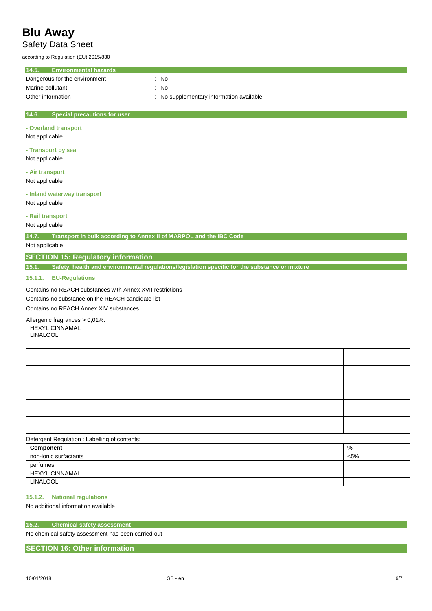### Safety Data Sheet

according to Regulation (EU) 2015/830

| 14.5.<br><b>Environmental hazards</b>                                                                        |                                          |
|--------------------------------------------------------------------------------------------------------------|------------------------------------------|
| Dangerous for the environment                                                                                | : No                                     |
| Marine pollutant                                                                                             | : No                                     |
| Other information                                                                                            | : No supplementary information available |
| 14.6.<br><b>Special precautions for user</b><br>- Overland transport<br>Not applicable<br>- Transport by sea |                                          |
| Not applicable                                                                                               |                                          |

**- Air transport** Not applicable

**- Inland waterway transport**

Not applicable

**- Rail transport**

Not applicable

**14.7. Transport in bulk according to Annex II of MARPOL and the IBC Code**

Not applicable

### **SECTION 15: Regulatory information**

**15.1. Safety, health and environmental regulations/legislation specific for the substance or mixture**

**15.1.1. EU-Regulations**

Contains no REACH substances with Annex XVII restrictions

Contains no substance on the REACH candidate list

Contains no REACH Annex XIV substances

### Allergenic fragrances > 0,01%:

HEXYL CINNAMAL

LINALOOL

### Detergent Regulation : Labelling of contents:

| Component             | %       |
|-----------------------|---------|
| non-ionic surfactants | $< 5\%$ |
| perfumes              |         |
| <b>HEXYL CINNAMAL</b> |         |
| LINALOOL              |         |

### **15.1.2. National regulations**

No additional information available

#### **15.2. Chemical safety assessment**

No chemical safety assessment has been carried out

### **SECTION 16: Other information**